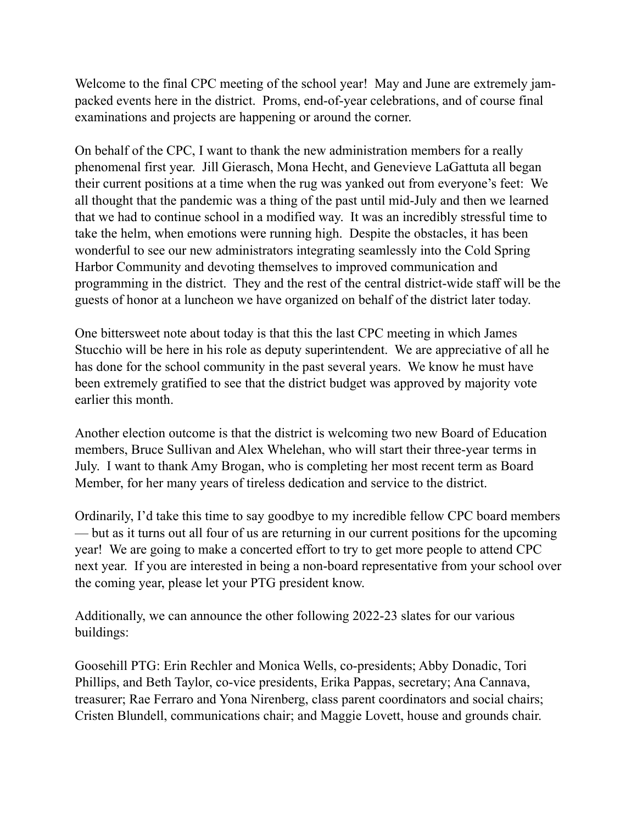Welcome to the final CPC meeting of the school year! May and June are extremely jampacked events here in the district. Proms, end-of-year celebrations, and of course final examinations and projects are happening or around the corner.

On behalf of the CPC, I want to thank the new administration members for a really phenomenal first year. Jill Gierasch, Mona Hecht, and Genevieve LaGattuta all began their current positions at a time when the rug was yanked out from everyone's feet: We all thought that the pandemic was a thing of the past until mid-July and then we learned that we had to continue school in a modified way. It was an incredibly stressful time to take the helm, when emotions were running high. Despite the obstacles, it has been wonderful to see our new administrators integrating seamlessly into the Cold Spring Harbor Community and devoting themselves to improved communication and programming in the district. They and the rest of the central district-wide staff will be the guests of honor at a luncheon we have organized on behalf of the district later today.

One bittersweet note about today is that this the last CPC meeting in which James Stucchio will be here in his role as deputy superintendent. We are appreciative of all he has done for the school community in the past several years. We know he must have been extremely gratified to see that the district budget was approved by majority vote earlier this month.

Another election outcome is that the district is welcoming two new Board of Education members, Bruce Sullivan and Alex Whelehan, who will start their three-year terms in July. I want to thank Amy Brogan, who is completing her most recent term as Board Member, for her many years of tireless dedication and service to the district.

Ordinarily, I'd take this time to say goodbye to my incredible fellow CPC board members — but as it turns out all four of us are returning in our current positions for the upcoming year! We are going to make a concerted effort to try to get more people to attend CPC next year. If you are interested in being a non-board representative from your school over the coming year, please let your PTG president know.

Additionally, we can announce the other following 2022-23 slates for our various buildings:

Goosehill PTG: Erin Rechler and Monica Wells, co-presidents; Abby Donadic, Tori Phillips, and Beth Taylor, co-vice presidents, Erika Pappas, secretary; Ana Cannava, treasurer; Rae Ferraro and Yona Nirenberg, class parent coordinators and social chairs; Cristen Blundell, communications chair; and Maggie Lovett, house and grounds chair.